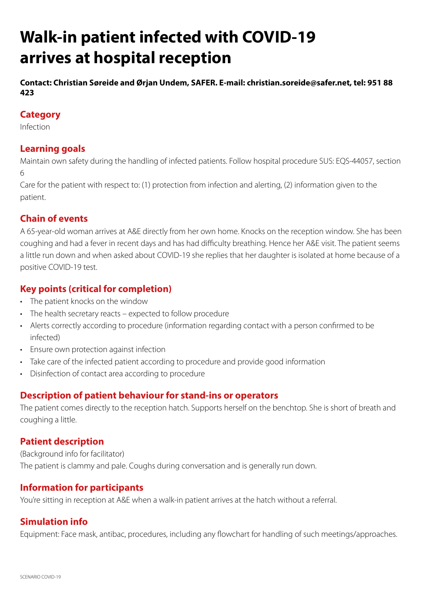# **Walk-in patient infected with COVID-19 arrives at hospital reception**

**Contact: Christian Søreide and Ørjan Undem, SAFER. E-mail: christian.soreide@safer.net, tel: 951 88 423**

#### **Category**

Infection

## **Learning goals**

Maintain own safety during the handling of infected patients. Follow hospital procedure SUS: EQS-44057, section 6

Care for the patient with respect to: (1) protection from infection and alerting, (2) information given to the patient.

# **Chain of events**

A 65-year-old woman arrives at A&E directly from her own home. Knocks on the reception window. She has been coughing and had a fever in recent days and has had difficulty breathing. Hence her A&E visit. The patient seems a little run down and when asked about COVID-19 she replies that her daughter is isolated at home because of a positive COVID-19 test.

## **Key points (critical for completion)**

- The patient knocks on the window
- The health secretary reacts expected to follow procedure
- Alerts correctly according to procedure (information regarding contact with a person confirmed to be infected)
- Ensure own protection against infection
- Take care of the infected patient according to procedure and provide good information
- Disinfection of contact area according to procedure

#### **Description of patient behaviour for stand-ins or operators**

The patient comes directly to the reception hatch. Supports herself on the benchtop. She is short of breath and coughing a little.

#### **Patient description**

(Background info for facilitator) The patient is clammy and pale. Coughs during conversation and is generally run down.

#### **Information for participants**

You're sitting in reception at A&E when a walk-in patient arrives at the hatch without a referral.

# **Simulation info**

Equipment: Face mask, antibac, procedures, including any flowchart for handling of such meetings/approaches.